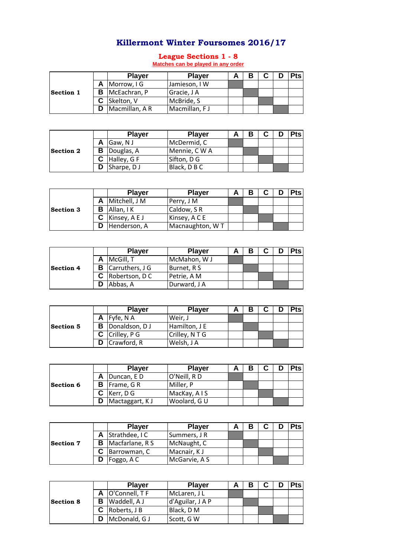## **Killermont Winter Foursomes 2016/17**

## **League Sections 1 - 8 Matches can be played in any order**

|                  | <b>Player</b>           | <b>Player</b> |  |  | <b>Pts</b> |
|------------------|-------------------------|---------------|--|--|------------|
|                  | A Morrow, IG            | Jamieson, IW  |  |  |            |
| <b>Section 1</b> | <b>B</b>   McEachran, P | Gracie, J A   |  |  |            |
|                  | C Skelton, V            | McBride, S    |  |  |            |
|                  | Macmillan, A R          | Macmillan, FJ |  |  |            |

|                  | <b>Player</b>       | <b>Player</b> |  | C | <b>Pts</b> |
|------------------|---------------------|---------------|--|---|------------|
|                  | A Gaw, NJ           | McDermid, C   |  |   |            |
| <b>Section 2</b> | <b>B</b> Douglas, A | Mennie, CWA   |  |   |            |
|                  | Halley, G F         | Sifton, D G   |  |   |            |
|                  | Sharpe, DJ          | Black, D B C  |  |   |            |

|                  | <b>Player</b>      | <b>Player</b>   |  | r | <b>Pts</b> |
|------------------|--------------------|-----------------|--|---|------------|
|                  | A Mitchell, J M    | Perry, J M      |  |   |            |
| <b>Section 3</b> | <b>B</b> Allan, IK | Caldow, SR      |  |   |            |
|                  | Kinsey, A E J      | Kinsey, A C E   |  |   |            |
|                  | Henderson, A       | Macnaughton, WT |  |   |            |

|                  | <b>Player</b>            | <b>Player</b> |  |  | <b>Pts</b> |
|------------------|--------------------------|---------------|--|--|------------|
|                  | McGill, T                | McMahon, WJ   |  |  |            |
| <b>Section 4</b> | <b>B</b> Carruthers, J G | Burnet, R S   |  |  |            |
|                  | <b>C</b> Robertson, DC   | Petrie, A M   |  |  |            |
|                  | Abbas, A                 | Durward, J A  |  |  |            |

|                  | <b>Player</b>          | <b>Player</b>  |  |  | <b>Pts</b> |
|------------------|------------------------|----------------|--|--|------------|
| <b>Section 5</b> | $\mathsf{A}$ Fyfe, N A | Weir, J        |  |  |            |
|                  | <b>B</b> Donaldson, DJ | Hamilton, J E  |  |  |            |
|                  | C Crilley, P G         | Crilley, N T G |  |  |            |
|                  | Crawford, R            | Welsh, J A     |  |  |            |

|                  |   | <b>Player</b>      | <b>Player</b> |  |  | <b>Pts</b> |
|------------------|---|--------------------|---------------|--|--|------------|
| <b>Section 6</b> |   | A Duncan, ED       | O'Neill, RD   |  |  |            |
|                  |   | <b>B</b> Frame, GR | Miller, P     |  |  |            |
|                  |   | Kerr, D G          | MacKay, AIS   |  |  |            |
|                  | D | Mactaggart, KJ     | Woolard, GU   |  |  |            |

|                  | <b>Player</b>            | <b>Player</b> |  |  | <b>Pts</b> |
|------------------|--------------------------|---------------|--|--|------------|
| <b>Section 7</b> | A Strathdee, IC          | Summers, J R  |  |  |            |
|                  | <b>B</b> Macfarlane, R S | McNaught, C   |  |  |            |
|                  | Barrowman, C             | Macnair, KJ   |  |  |            |
|                  | Foggo, A C               | McGarvie, A S |  |  |            |

|                  | <b>Player</b>         | <b>Player</b>    |  |  | <b>Pts</b> |
|------------------|-----------------------|------------------|--|--|------------|
| <b>Section 8</b> | A O'Connell, TF       | McLaren, J L     |  |  |            |
|                  | <b>B</b> Waddell, A J | d'Aguilar, J A P |  |  |            |
|                  | Roberts, J B          | Black, D M       |  |  |            |
|                  | McDonald, G J         | Scott, G W       |  |  |            |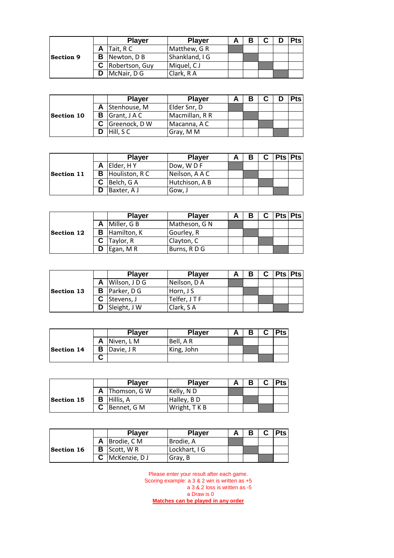|                  | <b>Player</b>           | <b>Player</b>  |  |  | <b>Pts</b> |
|------------------|-------------------------|----------------|--|--|------------|
|                  | A Tait, RC              | Matthew, G R   |  |  |            |
| <b>Section 9</b> | <b>B</b> Newton, D B    | Shankland, I G |  |  |            |
|                  | <b>C</b> Robertson, Guy | Miquel, CJ     |  |  |            |
|                  | McNair, D G             | Clark, RA      |  |  |            |

|                   | <b>Player</b>                  | <b>Player</b>  |  |  | <b>Pts</b> |
|-------------------|--------------------------------|----------------|--|--|------------|
|                   | A Stenhouse, M                 | Elder Snr, D   |  |  |            |
| <b>Section 10</b> | <b>B</b> $\left $ Grant, J A C | Macmillan, R R |  |  |            |
|                   | C Greenock, D W                | Macanna, A C   |  |  |            |
|                   | Hill, SC                       | Gray, M M      |  |  |            |

| <b>Section 11</b> | <b>Player</b>           | <b>Player</b>  |  | C. | Pts   Pts |
|-------------------|-------------------------|----------------|--|----|-----------|
|                   | Elder, HY               | Dow, WDF       |  |    |           |
|                   | <b>B</b> Houliston, R C | Neilson, A A C |  |    |           |
|                   | Belch, GA               | Hutchison, A B |  |    |           |
|                   | Baxter, A J             | Gow, J         |  |    |           |

|                   |   | <b>Player</b>        | <b>Player</b> |  | C. | <b>Pts Pts</b> |  |
|-------------------|---|----------------------|---------------|--|----|----------------|--|
| <b>Section 12</b> |   | A Miller, G B        | Matheson, G N |  |    |                |  |
|                   |   | <b>B</b> Hamilton, K | Gourley, R    |  |    |                |  |
|                   |   | $C$ Taylor, R        | Clayton, C    |  |    |                |  |
|                   | D | Egan, MR             | Burns, RDG    |  |    |                |  |

|                   | <b>Player</b>       | <b>Player</b> |  |  | <b>Pts Pts</b> |
|-------------------|---------------------|---------------|--|--|----------------|
| <b>Section 13</b> | A Wilson, JDG       | Neilson, D A  |  |  |                |
|                   | <b>B</b> Parker, DG | Horn, J S     |  |  |                |
|                   | C Stevens, J        | Telfer, JTF   |  |  |                |
|                   | Sleight, J W        | Clark, SA     |  |  |                |

|                   |   | <b>Player</b> | <b>Player</b> | Α | ◠<br>u | <b>Pts</b> |
|-------------------|---|---------------|---------------|---|--------|------------|
| <b>Section 14</b> | Α | Niven, L M    | Bell, AR      |   |        |            |
|                   | в | Davie, J R    | King, John    |   |        |            |
|                   | ື |               |               |   |        |            |

|            | <b>Player</b>      | <b>Player</b> |  | <b>Pts</b> |
|------------|--------------------|---------------|--|------------|
| Section 15 | A Thomson, G W     | Kelly, N D    |  |            |
|            | <b>B</b> Hillis, A | Halley, BD    |  |            |
|            | Bennet, G M        | Wright, T K B |  |            |

|                   | <b>Player</b> | <b>Player</b> |  | r |  |
|-------------------|---------------|---------------|--|---|--|
| <b>Section 16</b> | Brodie, C M   | Brodie, A     |  |   |  |
|                   | Scott, WR     | Lockhart, I G |  |   |  |
|                   | McKenzie, DJ  | Gray, B       |  |   |  |

Please enter your result after each game. Scoring example: a 3 & 2 win is written as +5 a 3 & 2 loss is written as -5 a Draw is 0 **Matches can be played in any order**